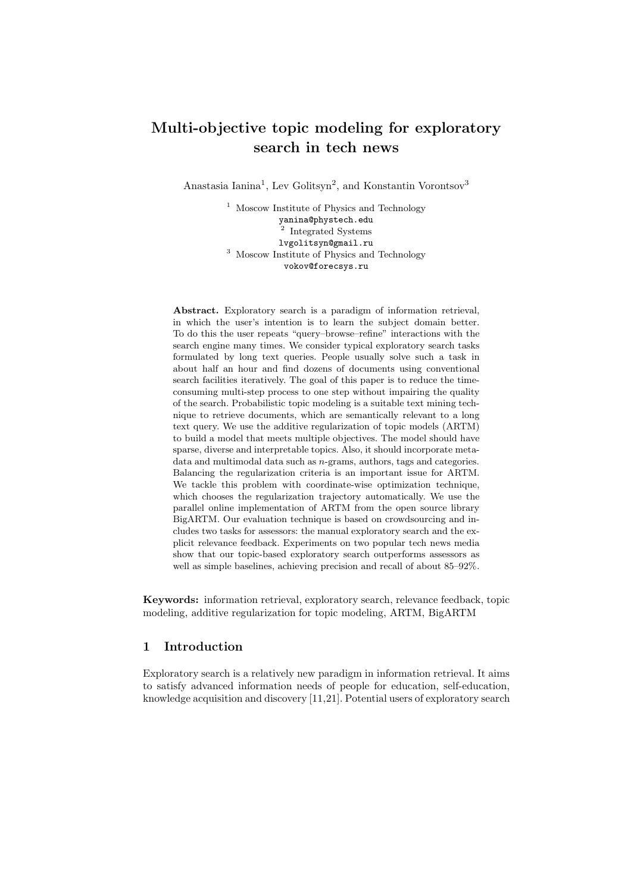# Multi-objective topic modeling for exploratory search in tech news

Anastasia Ianina<sup>1</sup>, Lev Golitsyn<sup>2</sup>, and Konstantin Vorontsov<sup>3</sup>

<sup>1</sup> Moscow Institute of Physics and Technology yanina@phystech.edu 2 Integrated Systems lvgolitsyn@gmail.ru <sup>3</sup> Moscow Institute of Physics and Technology vokov@forecsys.ru

Abstract. Exploratory search is a paradigm of information retrieval, in which the user's intention is to learn the subject domain better. To do this the user repeats "query–browse–refine" interactions with the search engine many times. We consider typical exploratory search tasks formulated by long text queries. People usually solve such a task in about half an hour and find dozens of documents using conventional search facilities iteratively. The goal of this paper is to reduce the timeconsuming multi-step process to one step without impairing the quality of the search. Probabilistic topic modeling is a suitable text mining technique to retrieve documents, which are semantically relevant to a long text query. We use the additive regularization of topic models (ARTM) to build a model that meets multiple objectives. The model should have sparse, diverse and interpretable topics. Also, it should incorporate metadata and multimodal data such as n-grams, authors, tags and categories. Balancing the regularization criteria is an important issue for ARTM. We tackle this problem with coordinate-wise optimization technique, which chooses the regularization trajectory automatically. We use the parallel online implementation of ARTM from the open source library BigARTM. Our evaluation technique is based on crowdsourcing and includes two tasks for assessors: the manual exploratory search and the explicit relevance feedback. Experiments on two popular tech news media show that our topic-based exploratory search outperforms assessors as well as simple baselines, achieving precision and recall of about 85–92%.

Keywords: information retrieval, exploratory search, relevance feedback, topic modeling, additive regularization for topic modeling, ARTM, BigARTM

# 1 Introduction

Exploratory search is a relatively new paradigm in information retrieval. It aims to satisfy advanced information needs of people for education, self-education, knowledge acquisition and discovery [11,21]. Potential users of exploratory search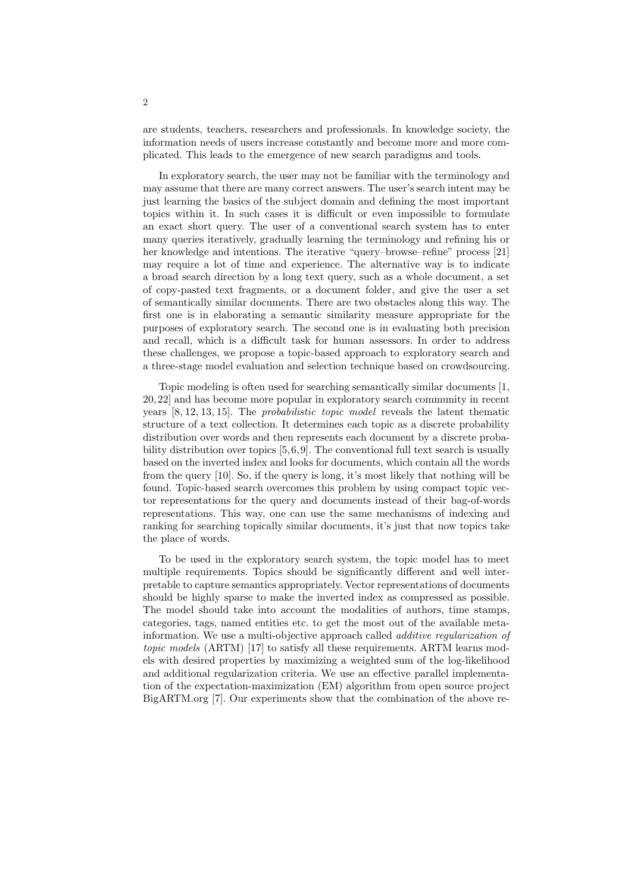are students, teachers, researchers and professionals. In knowledge society, the information needs of users increase constantly and become more and more complicated. This leads to the emergence of new search paradigms and tools.

In exploratory search, the user may not be familiar with the terminology and may assume that there are many correct answers. The user's search intent may be just learning the basics of the subject domain and defining the most important topics within it. In such cases it is difficult or even impossible to formulate an exact short query. The user of a conventional search system has to enter many queries iteratively, gradually learning the terminology and refining his or her knowledge and intentions. The iterative "query–browse–refine" process [21] may require a lot of time and experience. The alternative way is to indicate a broad search direction by a long text query, such as a whole document, a set of copy-pasted text fragments, or a document folder, and give the user a set of semantically similar documents. There are two obstacles along this way. The first one is in elaborating a semantic similarity measure appropriate for the purposes of exploratory search. The second one is in evaluating both precision and recall, which is a difficult task for human assessors. In order to address these challenges, we propose a topic-based approach to exploratory search and a three-stage model evaluation and selection technique based on crowdsourcing.

Topic modeling is often used for searching semantically similar documents [1, 20, 22] and has become more popular in exploratory search community in recent years [8, 12, 13, 15]. The probabilistic topic model reveals the latent thematic structure of a text collection. It determines each topic as a discrete probability distribution over words and then represents each document by a discrete probability distribution over topics [5,6,9]. The conventional full text search is usually based on the inverted index and looks for documents, which contain all the words from the query [10]. So, if the query is long, it's most likely that nothing will be found. Topic-based search overcomes this problem by using compact topic vector representations for the query and documents instead of their bag-of-words representations. This way, one can use the same mechanisms of indexing and ranking for searching topically similar documents, it's just that now topics take the place of words.

To be used in the exploratory search system, the topic model has to meet multiple requirements. Topics should be significantly different and well interpretable to capture semantics appropriately. Vector representations of documents should be highly sparse to make the inverted index as compressed as possible. The model should take into account the modalities of authors, time stamps, categories, tags, named entities etc. to get the most out of the available metainformation. We use a multi-objective approach called additive regularization of topic models (ARTM) [17] to satisfy all these requirements. ARTM learns models with desired properties by maximizing a weighted sum of the log-likelihood and additional regularization criteria. We use an effective parallel implementation of the expectation-maximization (EM) algorithm from open source project BigARTM.org [7]. Our experiments show that the combination of the above re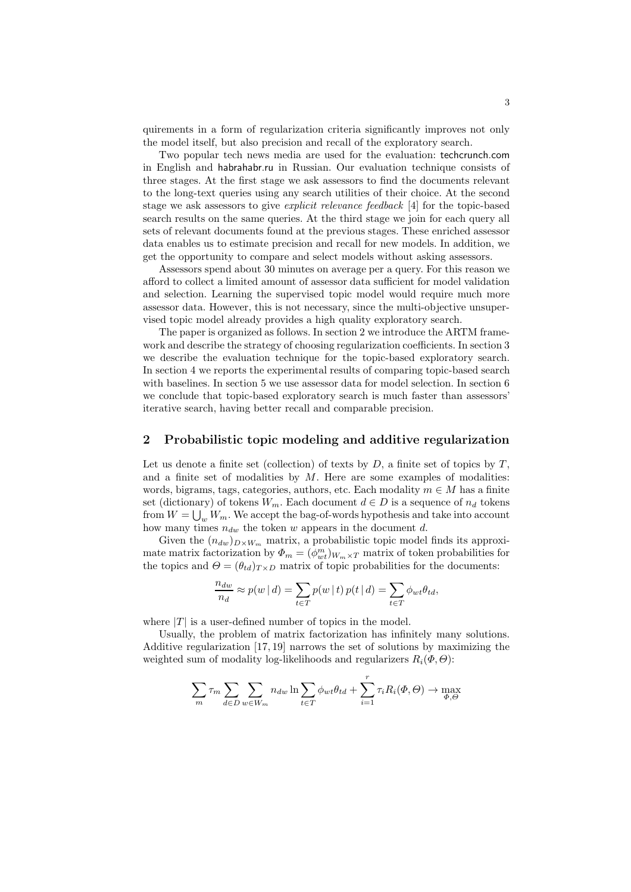quirements in a form of regularization criteria significantly improves not only the model itself, but also precision and recall of the exploratory search.

Two popular tech news media are used for the evaluation: techcrunch.com in English and habrahabr.ru in Russian. Our evaluation technique consists of three stages. At the first stage we ask assessors to find the documents relevant to the long-text queries using any search utilities of their choice. At the second stage we ask assessors to give explicit relevance feedback [4] for the topic-based search results on the same queries. At the third stage we join for each query all sets of relevant documents found at the previous stages. These enriched assessor data enables us to estimate precision and recall for new models. In addition, we get the opportunity to compare and select models without asking assessors.

Assessors spend about 30 minutes on average per a query. For this reason we afford to collect a limited amount of assessor data sufficient for model validation and selection. Learning the supervised topic model would require much more assessor data. However, this is not necessary, since the multi-objective unsupervised topic model already provides a high quality exploratory search.

The paper is organized as follows. In section 2 we introduce the ARTM framework and describe the strategy of choosing regularization coefficients. In section 3 we describe the evaluation technique for the topic-based exploratory search. In section 4 we reports the experimental results of comparing topic-based search with baselines. In section 5 we use assessor data for model selection. In section 6 we conclude that topic-based exploratory search is much faster than assessors' iterative search, having better recall and comparable precision.

### 2 Probabilistic topic modeling and additive regularization

Let us denote a finite set (collection) of texts by  $D$ , a finite set of topics by  $T$ , and a finite set of modalities by  $M$ . Here are some examples of modalities: words, bigrams, tags, categories, authors, etc. Each modality  $m \in M$  has a finite set (dictionary) of tokens  $W_m$ . Each document  $d \in D$  is a sequence of  $n_d$  tokens from  $W = \bigcup_{w} W_m$ . We accept the bag-of-words hypothesis and take into account how many times  $n_{dw}$  the token w appears in the document d.

Given the  $(n_{dw})_{D\times W_m}$  matrix, a probabilistic topic model finds its approximate matrix factorization by  $\Phi_m = (\phi_{wt}^m)_{W_m \times T}$  matrix of token probabilities for the topics and  $\Theta = (\theta_{td})_{T \times D}$  matrix of topic probabilities for the documents:

$$
\frac{n_{dw}}{n_d} \approx p(w \mid d) = \sum_{t \in T} p(w \mid t) p(t \mid d) = \sum_{t \in T} \phi_{wt} \theta_{td},
$$

where  $|T|$  is a user-defined number of topics in the model.

Usually, the problem of matrix factorization has infinitely many solutions. Additive regularization [17, 19] narrows the set of solutions by maximizing the weighted sum of modality log-likelihoods and regularizers  $R_i(\Phi, \Theta)$ :

$$
\sum_{m} \tau_m \sum_{d \in D} \sum_{w \in W_m} n_{dw} \ln \sum_{t \in T} \phi_{wt} \theta_{td} + \sum_{i=1}^r \tau_i R_i(\Phi, \Theta) \to \max_{\Phi, \Theta}
$$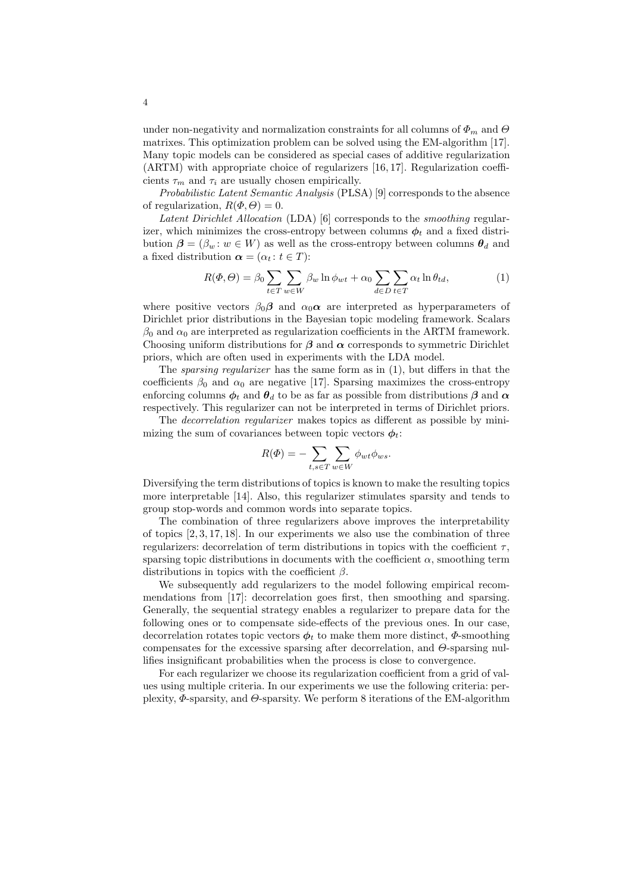under non-negativity and normalization constraints for all columns of  $\Phi_m$  and  $\Theta$ matrixes. This optimization problem can be solved using the EM-algorithm [17]. Many topic models can be considered as special cases of additive regularization (ARTM) with appropriate choice of regularizers [16, 17]. Regularization coefficients  $\tau_m$  and  $\tau_i$  are usually chosen empirically.

Probabilistic Latent Semantic Analysis (PLSA) [9] corresponds to the absence of regularization,  $R(\Phi, \Theta) = 0$ .

Latent Dirichlet Allocation (LDA) [6] corresponds to the *smoothing* regularizer, which minimizes the cross-entropy between columns  $\phi_t$  and a fixed distribution  $\beta = (\beta_w : w \in W)$  as well as the cross-entropy between columns  $\theta_d$  and a fixed distribution  $\boldsymbol{\alpha} = (\alpha_t : t \in T)$ :

$$
R(\Phi, \Theta) = \beta_0 \sum_{t \in T} \sum_{w \in W} \beta_w \ln \phi_{wt} + \alpha_0 \sum_{d \in D} \sum_{t \in T} \alpha_t \ln \theta_{td}, \tag{1}
$$

where positive vectors  $\beta_0 \beta$  and  $\alpha_0 \alpha$  are interpreted as hyperparameters of Dirichlet prior distributions in the Bayesian topic modeling framework. Scalars  $\beta_0$  and  $\alpha_0$  are interpreted as regularization coefficients in the ARTM framework. Choosing uniform distributions for  $\beta$  and  $\alpha$  corresponds to symmetric Dirichlet priors, which are often used in experiments with the LDA model.

The sparsing regularizer has the same form as in (1), but differs in that the coefficients  $\beta_0$  and  $\alpha_0$  are negative [17]. Sparsing maximizes the cross-entropy enforcing columns  $\phi_t$  and  $\theta_d$  to be as far as possible from distributions  $\beta$  and  $\alpha$ respectively. This regularizer can not be interpreted in terms of Dirichlet priors.

The *decorrelation regularizer* makes topics as different as possible by minimizing the sum of covariances between topic vectors  $\phi_t$ :

$$
R(\Phi) = -\sum_{t,s \in T} \sum_{w \in W} \phi_{wt} \phi_{ws}.
$$

Diversifying the term distributions of topics is known to make the resulting topics more interpretable [14]. Also, this regularizer stimulates sparsity and tends to group stop-words and common words into separate topics.

The combination of three regularizers above improves the interpretability of topics  $[2, 3, 17, 18]$ . In our experiments we also use the combination of three regularizers: decorrelation of term distributions in topics with the coefficient  $\tau$ , sparsing topic distributions in documents with the coefficient  $\alpha$ , smoothing term distributions in topics with the coefficient  $\beta$ .

We subsequently add regularizers to the model following empirical recommendations from [17]: decorrelation goes first, then smoothing and sparsing. Generally, the sequential strategy enables a regularizer to prepare data for the following ones or to compensate side-effects of the previous ones. In our case, decorrelation rotates topic vectors  $\phi_t$  to make them more distinct,  $\Phi$ -smoothing compensates for the excessive sparsing after decorrelation, and Θ-sparsing nullifies insignificant probabilities when the process is close to convergence.

For each regularizer we choose its regularization coefficient from a grid of values using multiple criteria. In our experiments we use the following criteria: perplexity,  $\Phi$ -sparsity, and  $\Theta$ -sparsity. We perform 8 iterations of the EM-algorithm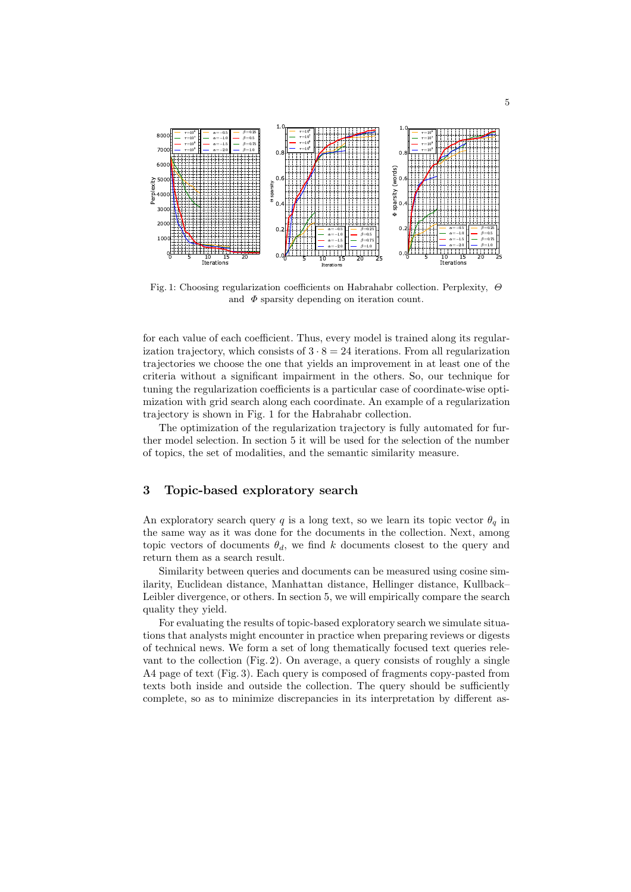

Fig. 1: Choosing regularization coefficients on Habrahabr collection. Perplexity, Θ and  $\Phi$  sparsity depending on iteration count.

for each value of each coefficient. Thus, every model is trained along its regularization trajectory, which consists of  $3 \cdot 8 = 24$  iterations. From all regularization trajectories we choose the one that yields an improvement in at least one of the criteria without a significant impairment in the others. So, our technique for tuning the regularization coefficients is a particular case of coordinate-wise optimization with grid search along each coordinate. An example of a regularization trajectory is shown in Fig. 1 for the Habrahabr collection.

The optimization of the regularization trajectory is fully automated for further model selection. In section 5 it will be used for the selection of the number of topics, the set of modalities, and the semantic similarity measure.

## 3 Topic-based exploratory search

An exploratory search query q is a long text, so we learn its topic vector  $\theta_a$  in the same way as it was done for the documents in the collection. Next, among topic vectors of documents  $\theta_d$ , we find k documents closest to the query and return them as a search result.

Similarity between queries and documents can be measured using cosine similarity, Euclidean distance, Manhattan distance, Hellinger distance, Kullback– Leibler divergence, or others. In section 5, we will empirically compare the search quality they yield.

For evaluating the results of topic-based exploratory search we simulate situations that analysts might encounter in practice when preparing reviews or digests of technical news. We form a set of long thematically focused text queries relevant to the collection (Fig. 2). On average, a query consists of roughly a single A4 page of text (Fig. 3). Each query is composed of fragments copy-pasted from texts both inside and outside the collection. The query should be sufficiently complete, so as to minimize discrepancies in its interpretation by different as-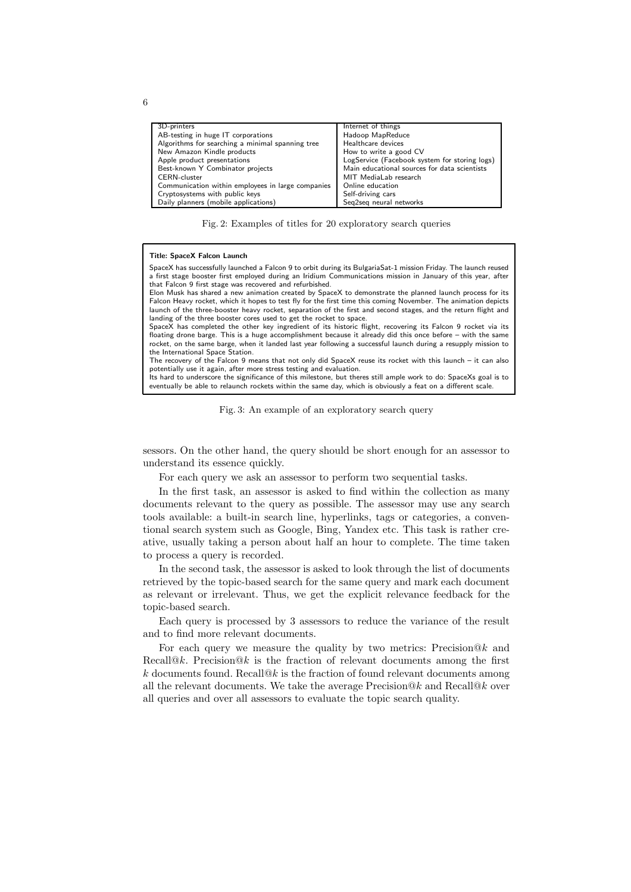| 3D-printers                                       | Internet of things                            |
|---------------------------------------------------|-----------------------------------------------|
| AB-testing in huge IT corporations                | Hadoop MapReduce                              |
| Algorithms for searching a minimal spanning tree  | Healthcare devices                            |
| New Amazon Kindle products                        | How to write a good CV                        |
| Apple product presentations                       | LogService (Facebook system for storing logs) |
| Best-known Y Combinator projects                  | Main educational sources for data scientists  |
| CERN-cluster                                      | MIT MediaLab research                         |
| Communication within employees in large companies | Online education                              |
| Cryptosystems with public keys                    | Self-driving cars                             |
| Daily planners (mobile applications)              | Seg2seg neural networks                       |

|  |  |  |  |  |  | Fig. 2: Examples of titles for 20 exploratory search queries |  |  |
|--|--|--|--|--|--|--------------------------------------------------------------|--|--|
|--|--|--|--|--|--|--------------------------------------------------------------|--|--|

#### Title: SpaceX Falcon Launch

SpaceX has successfully launched a Falcon 9 to orbit during its BulgariaSat-1 mission Friday. The launch reused a first stage booster first employed during an Iridium Communications mission in January of this year, after that Falcon 9 first stage was recovered and refurbished.

| Elon Musk has shared a new animation created by SpaceX to demonstrate the planned launch process for its       |
|----------------------------------------------------------------------------------------------------------------|
| Falcon Heavy rocket, which it hopes to test fly for the first time this coming November. The animation depicts |
| launch of the three-booster heavy rocket, separation of the first and second stages, and the return flight and |
| landing of the three booster cores used to get the rocket to space.                                            |
| SpaceX has completed the other key ingredient of its historic flight, recovering its Falcon 9 rocket via its   |

floating drone barge. This is a huge accomplishment because it already did this once before – with the same rocket, on the same barge, when it landed last year following a successful launch during a resupply mission to the International Space Station

The recovery of the Falcon 9 means that not only did SpaceX reuse its rocket with this launch – it can also potentially use it again, after more stress testing and evaluation.

Its hard to underscore the significance of this milestone, but theres still ample work to do: SpaceXs goal is to eventually be able to relaunch rockets within the same day, which is obviously a feat on a different scale.

Fig. 3: An example of an exploratory search query

sessors. On the other hand, the query should be short enough for an assessor to understand its essence quickly.

For each query we ask an assessor to perform two sequential tasks.

In the first task, an assessor is asked to find within the collection as many documents relevant to the query as possible. The assessor may use any search tools available: a built-in search line, hyperlinks, tags or categories, a conventional search system such as Google, Bing, Yandex etc. This task is rather creative, usually taking a person about half an hour to complete. The time taken to process a query is recorded.

In the second task, the assessor is asked to look through the list of documents retrieved by the topic-based search for the same query and mark each document as relevant or irrelevant. Thus, we get the explicit relevance feedback for the topic-based search.

Each query is processed by 3 assessors to reduce the variance of the result and to find more relevant documents.

For each query we measure the quality by two metrics: Precision  $@k$  and Recall $@k$ . Precision $@k$  is the fraction of relevant documents among the first  $k$  documents found. Recall@k is the fraction of found relevant documents among all the relevant documents. We take the average Precision $@k$  and Recall $@k$  over all queries and over all assessors to evaluate the topic search quality.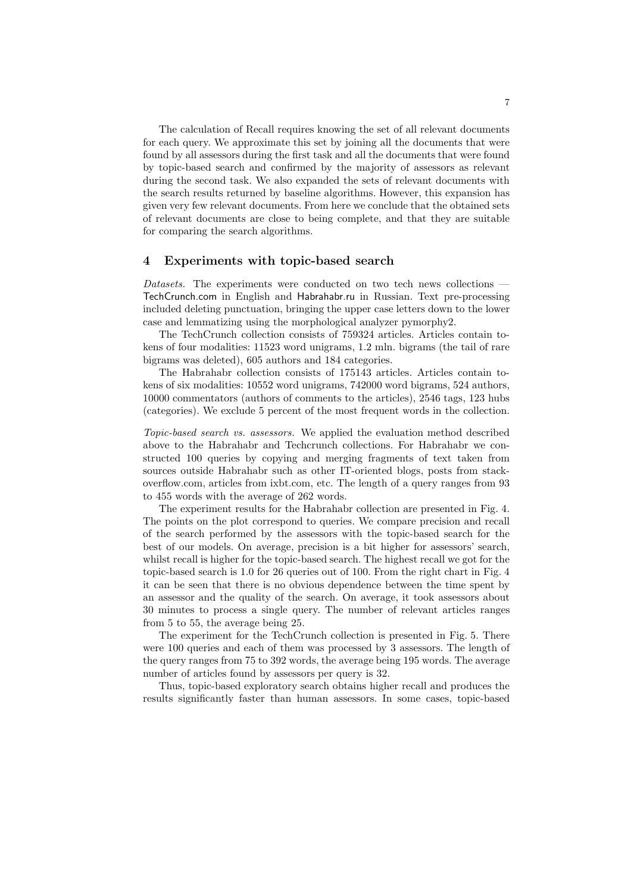The calculation of Recall requires knowing the set of all relevant documents for each query. We approximate this set by joining all the documents that were found by all assessors during the first task and all the documents that were found by topic-based search and confirmed by the majority of assessors as relevant during the second task. We also expanded the sets of relevant documents with the search results returned by baseline algorithms. However, this expansion has given very few relevant documents. From here we conclude that the obtained sets of relevant documents are close to being complete, and that they are suitable for comparing the search algorithms.

### 4 Experiments with topic-based search

Datasets. The experiments were conducted on two tech news collections  $\cdot$ TechCrunch.com in English and Habrahabr.ru in Russian. Text pre-processing included deleting punctuation, bringing the upper case letters down to the lower case and lemmatizing using the morphological analyzer pymorphy2.

The TechCrunch collection consists of 759324 articles. Articles contain tokens of four modalities: 11523 word unigrams, 1.2 mln. bigrams (the tail of rare bigrams was deleted), 605 authors and 184 categories.

The Habrahabr collection consists of 175143 articles. Articles contain tokens of six modalities: 10552 word unigrams, 742000 word bigrams, 524 authors, 10000 commentators (authors of comments to the articles), 2546 tags, 123 hubs (categories). We exclude 5 percent of the most frequent words in the collection.

Topic-based search vs. assessors. We applied the evaluation method described above to the Habrahabr and Techcrunch collections. For Habrahabr we constructed 100 queries by copying and merging fragments of text taken from sources outside Habrahabr such as other IT-oriented blogs, posts from stackoverflow.com, articles from ixbt.com, etc. The length of a query ranges from 93 to 455 words with the average of 262 words.

The experiment results for the Habrahabr collection are presented in Fig. 4. The points on the plot correspond to queries. We compare precision and recall of the search performed by the assessors with the topic-based search for the best of our models. On average, precision is a bit higher for assessors' search, whilst recall is higher for the topic-based search. The highest recall we got for the topic-based search is 1.0 for 26 queries out of 100. From the right chart in Fig. 4 it can be seen that there is no obvious dependence between the time spent by an assessor and the quality of the search. On average, it took assessors about 30 minutes to process a single query. The number of relevant articles ranges from 5 to 55, the average being 25.

The experiment for the TechCrunch collection is presented in Fig. 5. There were 100 queries and each of them was processed by 3 assessors. The length of the query ranges from 75 to 392 words, the average being 195 words. The average number of articles found by assessors per query is 32.

Thus, topic-based exploratory search obtains higher recall and produces the results significantly faster than human assessors. In some cases, topic-based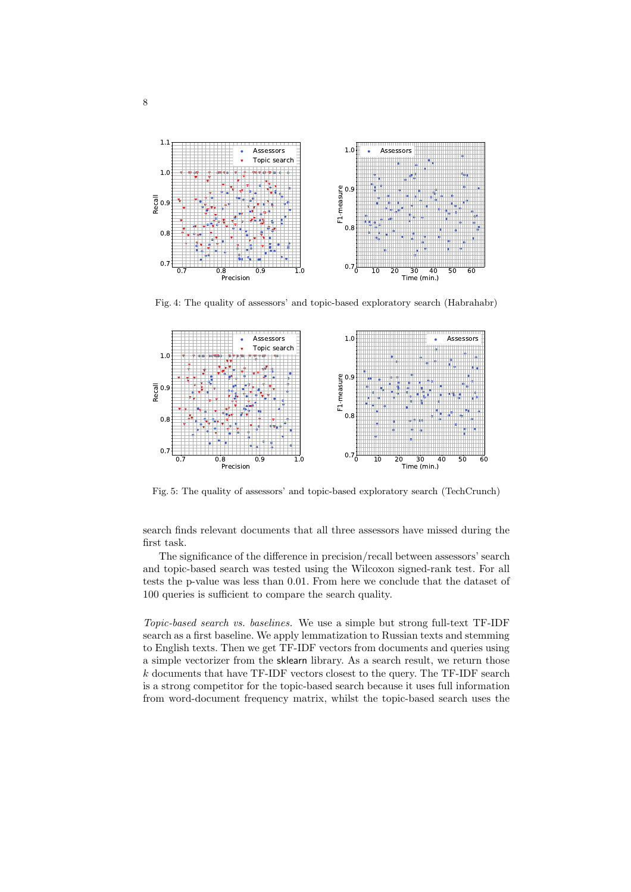

Fig. 4: The quality of assessors' and topic-based exploratory search (Habrahabr)



Fig. 5: The quality of assessors' and topic-based exploratory search (TechCrunch)

search finds relevant documents that all three assessors have missed during the first task.

The significance of the difference in precision/recall between assessors' search and topic-based search was tested using the Wilcoxon signed-rank test. For all tests the p-value was less than 0.01. From here we conclude that the dataset of 100 queries is sufficient to compare the search quality.

Topic-based search vs. baselines. We use a simple but strong full-text TF-IDF search as a first baseline. We apply lemmatization to Russian texts and stemming to English texts. Then we get TF-IDF vectors from documents and queries using a simple vectorizer from the sklearn library. As a search result, we return those k documents that have TF-IDF vectors closest to the query. The TF-IDF search is a strong competitor for the topic-based search because it uses full information from word-document frequency matrix, whilst the topic-based search uses the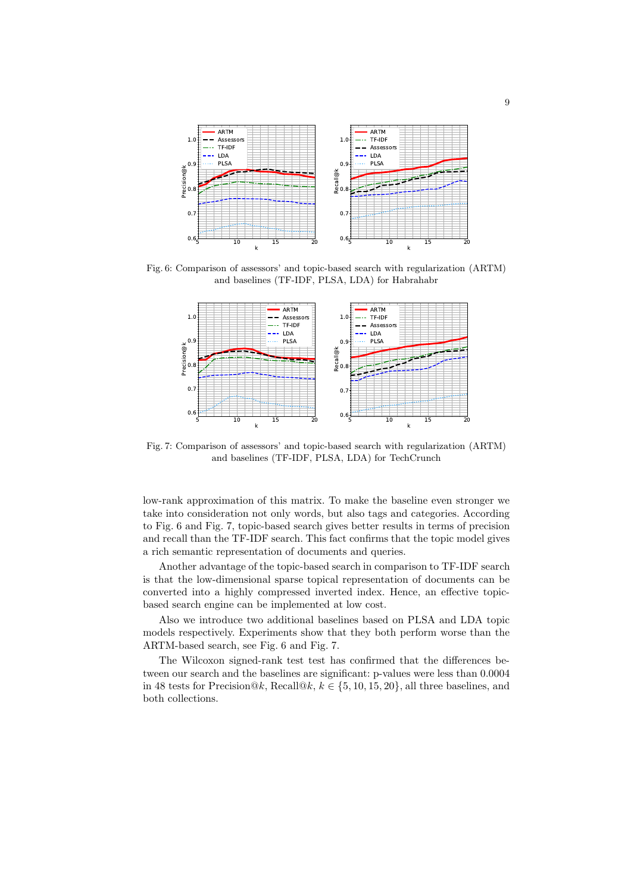

Fig. 6: Comparison of assessors' and topic-based search with regularization (ARTM) and baselines (TF-IDF, PLSA, LDA) for Habrahabr



Fig. 7: Comparison of assessors' and topic-based search with regularization (ARTM) and baselines (TF-IDF, PLSA, LDA) for TechCrunch

low-rank approximation of this matrix. To make the baseline even stronger we take into consideration not only words, but also tags and categories. According to Fig. 6 and Fig. 7, topic-based search gives better results in terms of precision and recall than the TF-IDF search. This fact confirms that the topic model gives a rich semantic representation of documents and queries.

Another advantage of the topic-based search in comparison to TF-IDF search is that the low-dimensional sparse topical representation of documents can be converted into a highly compressed inverted index. Hence, an effective topicbased search engine can be implemented at low cost.

Also we introduce two additional baselines based on PLSA and LDA topic models respectively. Experiments show that they both perform worse than the ARTM-based search, see Fig. 6 and Fig. 7.

The Wilcoxon signed-rank test test has confirmed that the differences between our search and the baselines are significant: p-values were less than 0.0004 in 48 tests for Precision@k, Recall@k,  $k \in \{5, 10, 15, 20\}$ , all three baselines, and both collections.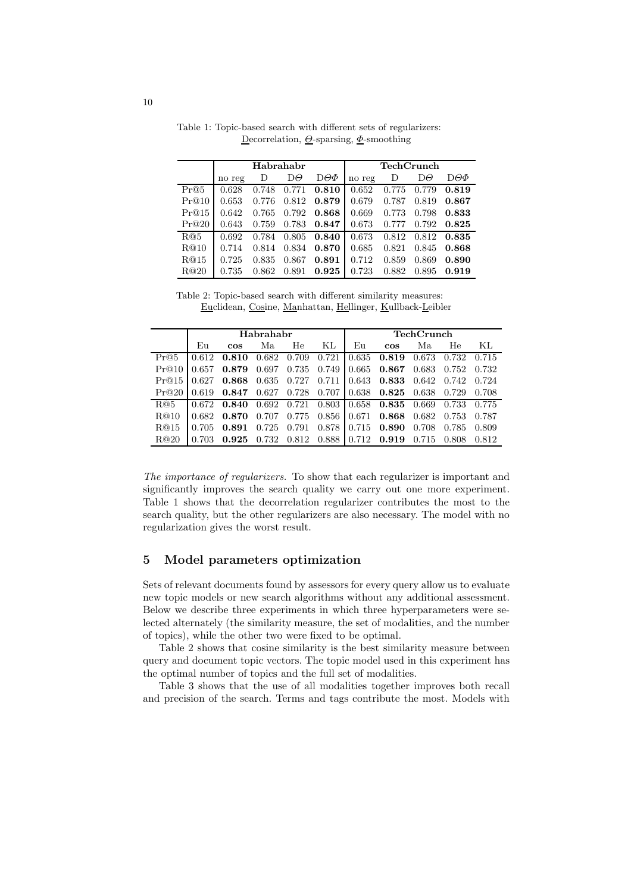|       |        |       | Habrahabr          |               | TechCrunch |       |       |               |  |
|-------|--------|-------|--------------------|---------------|------------|-------|-------|---------------|--|
|       | no reg | D     | $\mathrm{D}\Theta$ | $D\Theta\Phi$ | no reg     | D     | DΘ    | $D\Theta\Phi$ |  |
| Pr@5  | 0.628  | 0.748 | 0.771              | 0.810         | 0.652      | 0.775 | 0.779 | 0.819         |  |
| Pr@10 | 0.653  | 0.776 | 0.812              | 0.879         | 0.679      | 0.787 | 0.819 | 0.867         |  |
| Pr@15 | 0.642  | 0.765 | 0.792              | 0.868         | 0.669      | 0.773 | 0.798 | 0.833         |  |
| Pr@20 | 0.643  | 0.759 | 0.783              | 0.847         | 0.673      | 0.777 | 0.792 | 0.825         |  |
| R@5   | 0.692  | 0.784 | 0.805              | 0.840         | 0.673      | 0.812 | 0.812 | 0.835         |  |
| R@10  | 0.714  | 0.814 | 0.834              | 0.870         | 0.685      | 0.821 | 0.845 | 0.868         |  |
| R@15  | 0.725  | 0.835 | 0.867              | 0.891         | 0.712      | 0.859 | 0.869 | 0.890         |  |
| R@20  | 0.735  | 0.862 | 0.891              | 0.925         | 0.723      | 0.882 | 0.895 | 0.919         |  |

Table 1: Topic-based search with different sets of regularizers: Decorrelation,  $\Theta$ -sparsing,  $\Phi$ -smoothing

Table 2: Topic-based search with different similarity measures: Euclidean, Cosine, Manhattan, Hellinger, Kullback-Leibler

|       |       |                           | Habrahabr   |    |             | TechCrunch |                                                                                 |    |             |    |  |
|-------|-------|---------------------------|-------------|----|-------------|------------|---------------------------------------------------------------------------------|----|-------------|----|--|
|       | Eu    | <b>COS</b>                | Ma          | He | KL.         | Eu         | cos                                                                             | Ma | He          | KL |  |
| Pr@5  | 0.612 | $\,0.810\,$               | 0.682 0.709 |    |             |            | $0.721$ 10.635 0.819 0.673                                                      |    | 0.732 0.715 |    |  |
| Pr@10 | 0.657 | 0.879                     | 0.697       |    |             |            | $0.735$ $0.749$ $0.665$ $0.867$ $0.683$ $0.752$ $0.732$                         |    |             |    |  |
| Pr@15 | 0.627 | 0.868 $0.635$ 0.727 0.711 |             |    |             |            | $0.643$ 0.833 0.642 0.742 0.724                                                 |    |             |    |  |
| Pr@20 |       |                           |             |    |             |            | $0.619$ $0.847$ $0.627$ $0.728$ $0.707$ $0.638$ $0.825$ $0.638$ $0.729$ $0.708$ |    |             |    |  |
| R@5   |       |                           |             |    |             |            | $0.672$ $0.840$ $0.692$ $0.721$ $0.803$ $0.658$ $0.835$ $0.669$                 |    | 0.733 0.775 |    |  |
| R@10  |       | $0.682$ 0.870             | 0.707       |    |             |            | $0.775$ $0.856$ $0.671$ $0.868$ $0.682$                                         |    | 0.753 0.787 |    |  |
| R@15  | 0.705 | 0.891                     | 0.725       |    | 0.791 0.878 |            | $0.715$ 0.890 0.708                                                             |    | 0.785 0.809 |    |  |
| R@20  | 0.703 |                           |             |    |             |            | 0.925 0.732 0.812 0.888 0.712 0.919 0.715 0.808 0.812                           |    |             |    |  |

The importance of regularizers. To show that each regularizer is important and significantly improves the search quality we carry out one more experiment. Table 1 shows that the decorrelation regularizer contributes the most to the search quality, but the other regularizers are also necessary. The model with no regularization gives the worst result.

# 5 Model parameters optimization

Sets of relevant documents found by assessors for every query allow us to evaluate new topic models or new search algorithms without any additional assessment. Below we describe three experiments in which three hyperparameters were selected alternately (the similarity measure, the set of modalities, and the number of topics), while the other two were fixed to be optimal.

Table 2 shows that cosine similarity is the best similarity measure between query and document topic vectors. The topic model used in this experiment has the optimal number of topics and the full set of modalities.

Table 3 shows that the use of all modalities together improves both recall and precision of the search. Terms and tags contribute the most. Models with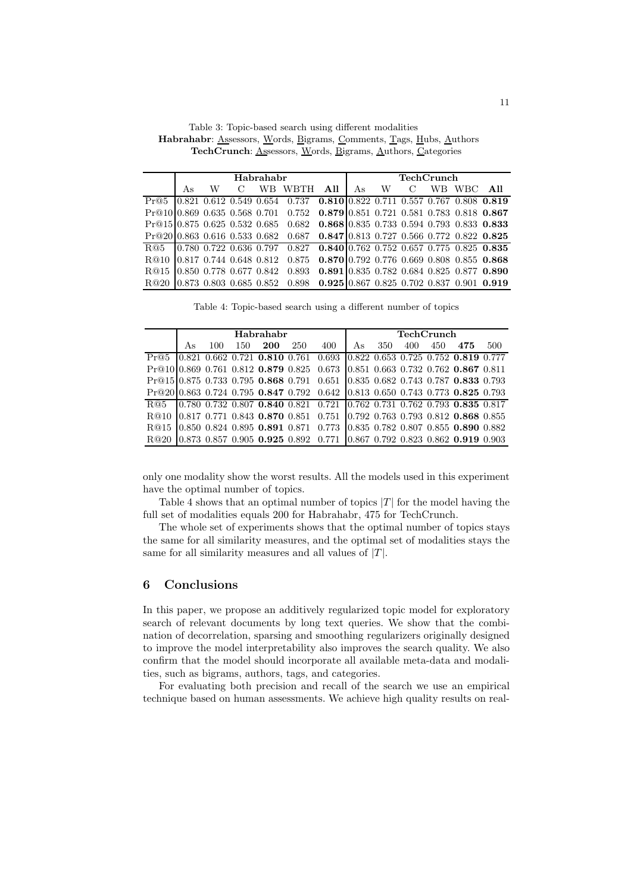Table 3: Topic-based search using different modalities Habrahabr: Assessors, Words, Bigrams, Comments, Tags, Hubs, Authors TechCrunch: Assessors, Words, Bigrams, Authors, Categories

|       | Habrahabr |   |  |     |                                                                                                                   |  |  | <b>TechCrunch</b> |               |     |         |  |  |
|-------|-----------|---|--|-----|-------------------------------------------------------------------------------------------------------------------|--|--|-------------------|---------------|-----|---------|--|--|
|       | As        | W |  | WB. | WBTH <b>All</b> As W                                                                                              |  |  |                   | $\mathcal{C}$ | WB. | WBC All |  |  |
| Pr@5  |           |   |  |     | $[0.821 \ 0.612 \ 0.549 \ 0.654 \ 0.737 \ 0.810] 0.822 \ 0.711 \ 0.557 \ 0.767 \ 0.808 \ 0.819$                   |  |  |                   |               |     |         |  |  |
|       |           |   |  |     | $Pr@10 0.8690.6350.5680.7010.7520.879 0.8510.7210.5810.7830.8180.867$                                             |  |  |                   |               |     |         |  |  |
|       |           |   |  |     | $Pr@15 0.875 0.625 0.532 0.685 0.682$ 0.868 0.835 0.733 0.594 0.793 0.833 0.833                                   |  |  |                   |               |     |         |  |  |
|       |           |   |  |     | $Pr@20 0.863 0.616 0.533 0.682 0.687 0.847 0.813 0.727 0.566 0.772 0.822 0.825$                                   |  |  |                   |               |     |         |  |  |
| R@5   |           |   |  |     | $\begin{bmatrix} 0.780 & 0.722 & 0.636 & 0.797 & 0.827 & 0.840 \end{bmatrix}$ 0.762 0.752 0.657 0.775 0.825 0.835 |  |  |                   |               |     |         |  |  |
| R@10  |           |   |  |     | $[0.817, 0.744, 0.648, 0.812, 0.875, 0.870]$ 0.792 0.776 0.669 0.808 0.855 0.868                                  |  |  |                   |               |     |         |  |  |
| R.@15 |           |   |  |     | $(0.850, 0.778, 0.677, 0.842, 0.893, 0.891)$ $(0.835, 0.782, 0.684, 0.825, 0.877, 0.890)$                         |  |  |                   |               |     |         |  |  |
| R@20  |           |   |  |     | $(0.873, 0.803, 0.685, 0.852, 0.898, 0.92510.867, 0.825, 0.702, 0.837, 0.901, 0.919)$                             |  |  |                   |               |     |         |  |  |

| Table 4: Topic-based search using a different number of topics |  |  |  |
|----------------------------------------------------------------|--|--|--|
|                                                                |  |  |  |

|                                                                                 | Habrahabr |     |     |     |     |                                                                                                                                                                                                                                                                                                                                                 | <b>TechCrunch</b> |     |     |     |     |     |
|---------------------------------------------------------------------------------|-----------|-----|-----|-----|-----|-------------------------------------------------------------------------------------------------------------------------------------------------------------------------------------------------------------------------------------------------------------------------------------------------------------------------------------------------|-------------------|-----|-----|-----|-----|-----|
|                                                                                 | As        | 100 | 150 | 200 | 250 | 400                                                                                                                                                                                                                                                                                                                                             | As                | 350 | 400 | 450 | 475 | 500 |
| Pr@5                                                                            |           |     |     |     |     | $0.821$ $0.662$ $0.721$ $0.810$ $0.761$ $0.693$ $0.822$ $0.653$ $0.725$ $0.752$ $0.819$ $0.777$                                                                                                                                                                                                                                                 |                   |     |     |     |     |     |
| $Pr@10 0.869 0.761 0.812 0.879 0.825 0.673 0.851 0.663 0.732 0.762 0.867 0.811$ |           |     |     |     |     |                                                                                                                                                                                                                                                                                                                                                 |                   |     |     |     |     |     |
| $Pr@15 0.875 0.733 0.795 0.868 0.791 0.651 0.835 0.682 0.743 0.787 0.833 0.793$ |           |     |     |     |     |                                                                                                                                                                                                                                                                                                                                                 |                   |     |     |     |     |     |
| $Pr@20 0.863 0.724 0.795 0.847 0.792 0.642 0.813 0.650 0.743 0.773 0.825 0.793$ |           |     |     |     |     |                                                                                                                                                                                                                                                                                                                                                 |                   |     |     |     |     |     |
| R@5                                                                             |           |     |     |     |     | $\lfloor 0.780 \cdot 0.732 \cdot 0.807 \cdot 0.840 \cdot 0.821 \cdot 0.721 \cdot \lfloor 0.762 \cdot 0.731 \cdot 0.762 \cdot 0.793 \cdot 0.835 \cdot 0.817 \cdot 0.002 \cdot 0.002 \cdot 0.002 \cdot 0.002 \cdot 0.002 \cdot 0.002 \cdot 0.002 \cdot 0.002 \cdot 0.002 \cdot 0.002 \cdot 0.002 \cdot 0.002 \cdot 0.002 \cdot 0.002 \cdot 0.002$ |                   |     |     |     |     |     |
| R@10                                                                            |           |     |     |     |     | $[0.817 \t0.771 \t0.843 \t0.870 \t0.851 \t0.751 \t0.792 \t0.763 \t0.793 \t0.812 \t0.868 \t0.855$                                                                                                                                                                                                                                                |                   |     |     |     |     |     |
| R@15                                                                            |           |     |     |     |     | $0.850$ $0.824$ $0.895$ $0.891$ $0.871$ $0.773$ $0.835$ $0.782$ $0.807$ $0.855$ $0.890$ $0.882$                                                                                                                                                                                                                                                 |                   |     |     |     |     |     |
| R.@20                                                                           |           |     |     |     |     | $0.873$ $0.857$ $0.905$ $0.925$ $0.892$ $0.771$ $0.867$ $0.792$ $0.823$ $0.862$ $0.919$ $0.903$                                                                                                                                                                                                                                                 |                   |     |     |     |     |     |

only one modality show the worst results. All the models used in this experiment have the optimal number of topics.

Table 4 shows that an optimal number of topics  $|T|$  for the model having the full set of modalities equals 200 for Habrahabr, 475 for TechCrunch.

The whole set of experiments shows that the optimal number of topics stays the same for all similarity measures, and the optimal set of modalities stays the same for all similarity measures and all values of  $|T|$ .

# 6 Conclusions

In this paper, we propose an additively regularized topic model for exploratory search of relevant documents by long text queries. We show that the combination of decorrelation, sparsing and smoothing regularizers originally designed to improve the model interpretability also improves the search quality. We also confirm that the model should incorporate all available meta-data and modalities, such as bigrams, authors, tags, and categories.

For evaluating both precision and recall of the search we use an empirical technique based on human assessments. We achieve high quality results on real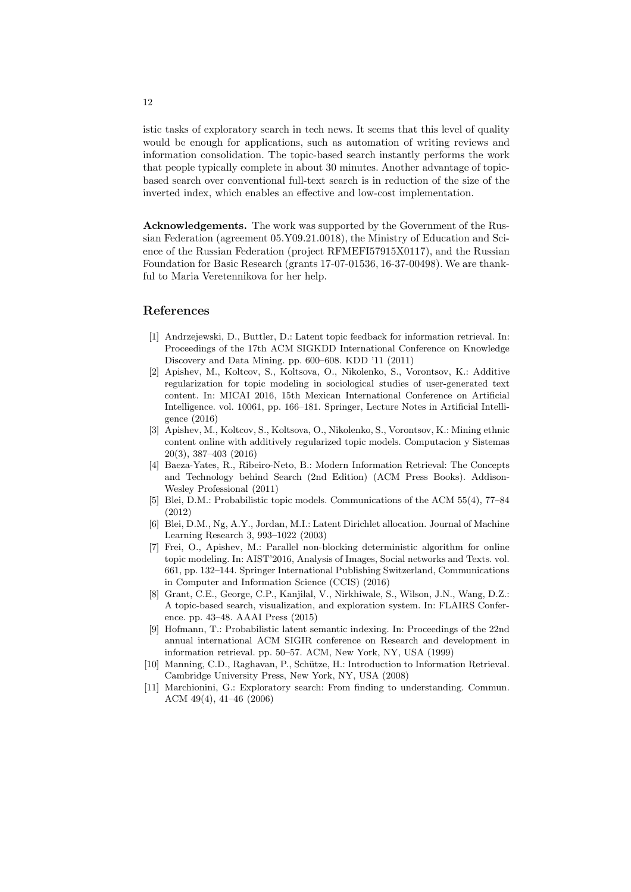istic tasks of exploratory search in tech news. It seems that this level of quality would be enough for applications, such as automation of writing reviews and information consolidation. The topic-based search instantly performs the work that people typically complete in about 30 minutes. Another advantage of topicbased search over conventional full-text search is in reduction of the size of the inverted index, which enables an effective and low-cost implementation.

Acknowledgements. The work was supported by the Government of the Russian Federation (agreement 05.Y09.21.0018), the Ministry of Education and Science of the Russian Federation (project RFMEFI57915X0117), and the Russian Foundation for Basic Research (grants 17-07-01536, 16-37-00498). We are thankful to Maria Veretennikova for her help.

### References

- [1] Andrzejewski, D., Buttler, D.: Latent topic feedback for information retrieval. In: Proceedings of the 17th ACM SIGKDD International Conference on Knowledge Discovery and Data Mining. pp. 600–608. KDD '11 (2011)
- [2] Apishev, M., Koltcov, S., Koltsova, O., Nikolenko, S., Vorontsov, K.: Additive regularization for topic modeling in sociological studies of user-generated text content. In: MICAI 2016, 15th Mexican International Conference on Artificial Intelligence. vol. 10061, pp. 166–181. Springer, Lecture Notes in Artificial Intelligence (2016)
- [3] Apishev, M., Koltcov, S., Koltsova, O., Nikolenko, S., Vorontsov, K.: Mining ethnic content online with additively regularized topic models. Computacion y Sistemas 20(3), 387–403 (2016)
- [4] Baeza-Yates, R., Ribeiro-Neto, B.: Modern Information Retrieval: The Concepts and Technology behind Search (2nd Edition) (ACM Press Books). Addison-Wesley Professional (2011)
- [5] Blei, D.M.: Probabilistic topic models. Communications of the ACM 55(4), 77–84 (2012)
- [6] Blei, D.M., Ng, A.Y., Jordan, M.I.: Latent Dirichlet allocation. Journal of Machine Learning Research 3, 993–1022 (2003)
- [7] Frei, O., Apishev, M.: Parallel non-blocking deterministic algorithm for online topic modeling. In: AIST'2016, Analysis of Images, Social networks and Texts. vol. 661, pp. 132–144. Springer International Publishing Switzerland, Communications in Computer and Information Science (CCIS) (2016)
- [8] Grant, C.E., George, C.P., Kanjilal, V., Nirkhiwale, S., Wilson, J.N., Wang, D.Z.: A topic-based search, visualization, and exploration system. In: FLAIRS Conference. pp. 43–48. AAAI Press (2015)
- [9] Hofmann, T.: Probabilistic latent semantic indexing. In: Proceedings of the 22nd annual international ACM SIGIR conference on Research and development in information retrieval. pp. 50–57. ACM, New York, NY, USA (1999)
- [10] Manning, C.D., Raghavan, P., Schütze, H.: Introduction to Information Retrieval. Cambridge University Press, New York, NY, USA (2008)
- [11] Marchionini, G.: Exploratory search: From finding to understanding. Commun. ACM 49(4), 41–46 (2006)